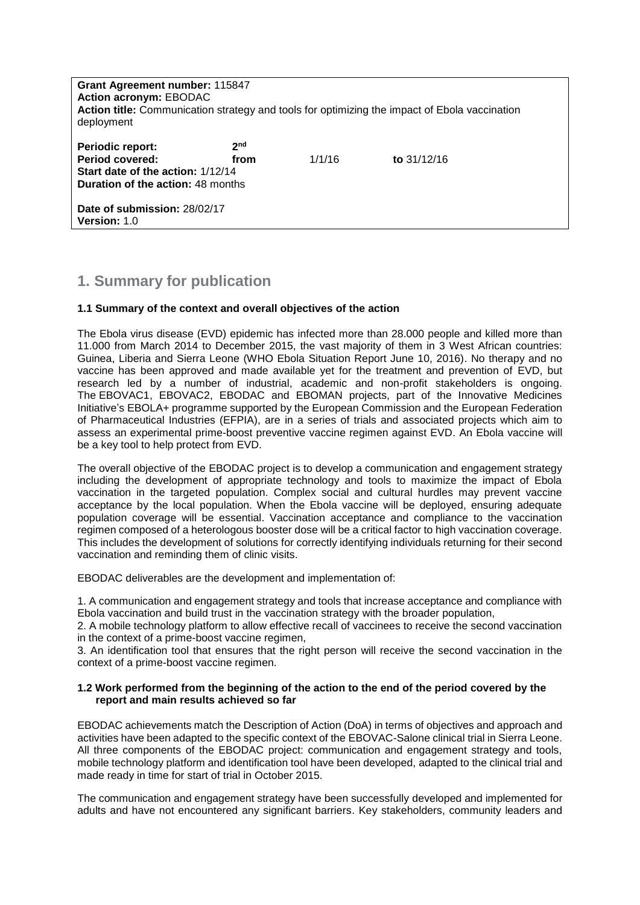| Grant Agreement number: 115847<br><b>Action acronym: EBODAC</b><br>Action title: Communication strategy and tools for optimizing the impact of Ebola vaccination<br>deployment |                         |        |               |  |
|--------------------------------------------------------------------------------------------------------------------------------------------------------------------------------|-------------------------|--------|---------------|--|
| Periodic report:<br><b>Period covered:</b><br>Start date of the action: 1/12/14<br><b>Duration of the action: 48 months</b>                                                    | 2 <sub>nd</sub><br>from | 1/1/16 | to $31/12/16$ |  |
| Date of submission: 28/02/17<br><b>Version: 1.0</b>                                                                                                                            |                         |        |               |  |

# **1. Summary for publication**

## **1.1 Summary of the context and overall objectives of the action**

The Ebola virus disease (EVD) epidemic has infected more than 28.000 people and killed more than 11.000 from March 2014 to December 2015, the vast majority of them in 3 West African countries: Guinea, Liberia and Sierra Leone (WHO Ebola Situation Report June 10, 2016). No therapy and no vaccine has been approved and made available yet for the treatment and prevention of EVD, but research led by a number of industrial, academic and non-profit stakeholders is ongoing. The EBOVAC1, [EBOVAC2,](http://www.ebovac2.com/) [EBODAC](http://www.ebovac.org/ebodac/) and [EBOMAN](http://www.ebovac.org/eboman/) projects, part of the Innovative Medicines Initiative's EBOLA+ programme supported by the European Commission and the European Federation of Pharmaceutical Industries (EFPIA), are in a series of trials and associated projects which aim to assess an experimental prime-boost preventive vaccine regimen against EVD. An Ebola vaccine will be a key tool to help protect from EVD.

The overall objective of the EBODAC project is to develop a communication and engagement strategy including the development of appropriate technology and tools to maximize the impact of Ebola vaccination in the targeted population. Complex social and cultural hurdles may prevent vaccine acceptance by the local population. When the Ebola vaccine will be deployed, ensuring adequate population coverage will be essential. Vaccination acceptance and compliance to the vaccination regimen composed of a heterologous booster dose will be a critical factor to high vaccination coverage. This includes the development of solutions for correctly identifying individuals returning for their second vaccination and reminding them of clinic visits.

EBODAC deliverables are the development and implementation of:

1. A communication and engagement strategy and tools that increase acceptance and compliance with Ebola vaccination and build trust in the vaccination strategy with the broader population,

2. A mobile technology platform to allow effective recall of vaccinees to receive the second vaccination in the context of a prime-boost vaccine regimen,

3. An identification tool that ensures that the right person will receive the second vaccination in the context of a prime-boost vaccine regimen.

### **1.2 Work performed from the beginning of the action to the end of the period covered by the report and main results achieved so far**

EBODAC achievements match the Description of Action (DoA) in terms of objectives and approach and activities have been adapted to the specific context of the EBOVAC-Salone clinical trial in Sierra Leone. All three components of the EBODAC project: communication and engagement strategy and tools, mobile technology platform and identification tool have been developed, adapted to the clinical trial and made ready in time for start of trial in October 2015.

The communication and engagement strategy have been successfully developed and implemented for adults and have not encountered any significant barriers. Key stakeholders, community leaders and